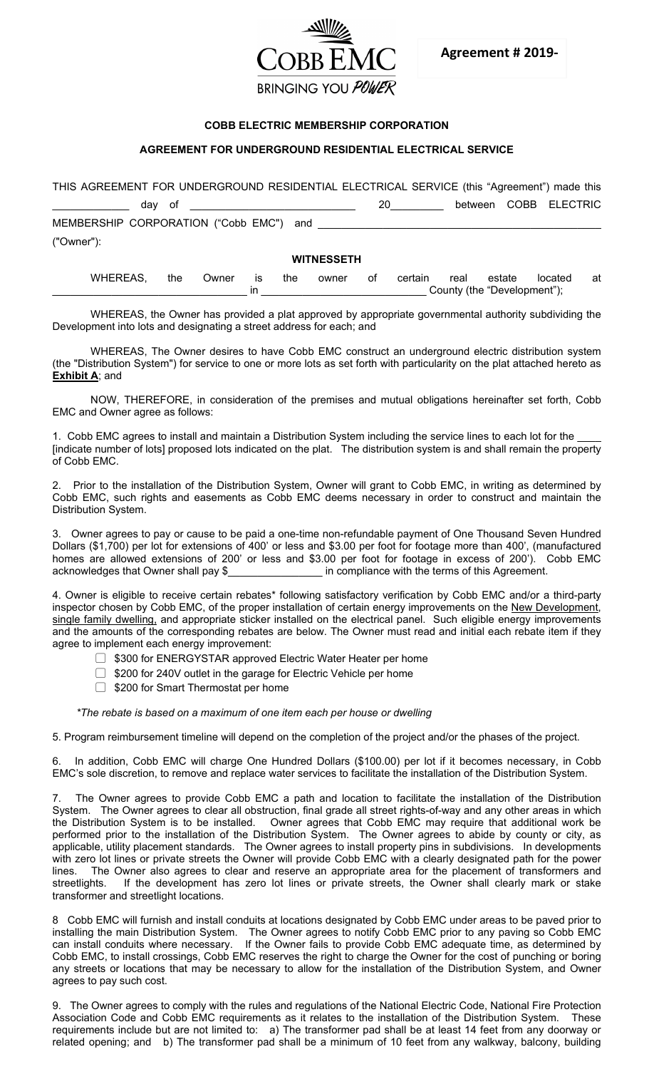

## **COBB ELECTRIC MEMBERSHIP CORPORATION**

## **AGREEMENT FOR UNDERGROUND RESIDENTIAL ELECTRICAL SERVICE**

| THIS AGREEMENT FOR UNDERGROUND RESIDENTIAL ELECTRICAL SERVICE (this "Agreement") made this |  |                       |
|--------------------------------------------------------------------------------------------|--|-----------------------|
| dav of                                                                                     |  | between COBB ELECTRIC |
| MEMBERSHIP CORPORATION ("Cobb EMC") and                                                    |  |                       |
| ("Owner"):                                                                                 |  |                       |
| <b>WITNESSETH</b>                                                                          |  |                       |

WHEREAS, the Owner is the owner of certain real estate located at \_\_\_\_\_\_\_\_\_\_\_\_\_\_\_\_\_\_\_\_\_\_\_\_\_\_\_\_\_\_\_\_\_ in \_\_\_\_\_\_\_\_\_\_\_\_\_\_\_\_\_\_\_\_\_\_\_\_\_\_\_\_ County (the "Development");

WHEREAS, the Owner has provided a plat approved by appropriate governmental authority subdividing the Development into lots and designating a street address for each; and

WHEREAS, The Owner desires to have Cobb EMC construct an underground electric distribution system (the "Distribution System") for service to one or more lots as set forth with particularity on the plat attached hereto as **Exhibit A**; and

NOW, THEREFORE, in consideration of the premises and mutual obligations hereinafter set forth, Cobb EMC and Owner agree as follows:

1. Cobb EMC agrees to install and maintain a Distribution System including the service lines to each lot for the [indicate number of lots] proposed lots indicated on the plat. The distribution system is and shall remain the property of Cobb EMC.

2. Prior to the installation of the Distribution System, Owner will grant to Cobb EMC, in writing as determined by Cobb EMC, such rights and easements as Cobb EMC deems necessary in order to construct and maintain the Distribution System.

3. Owner agrees to pay or cause to be paid a one-time non-refundable payment of One Thousand Seven Hundred Dollars (\$1,700) per lot for extensions of 400' or less and \$3.00 per foot for footage more than 400', (manufactured homes are allowed extensions of 200' or less and \$3.00 per foot for footage in excess of 200'). Cobb EMC acknowledges that Owner shall pay \$ in compliance with the terms of this Agreement. in compliance with the terms of this Agreement.

4. Owner is eligible to receive certain rebates\* following satisfactory verification by Cobb EMC and/or a third-party inspector chosen by Cobb EMC, of the proper installation of certain energy improvements on the New Development, single family dwelling, and appropriate sticker installed on the electrical panel. Such eligible energy improvements and the amounts of the corresponding rebates are below. The Owner must read and initial each rebate item if they agree to implement each energy improvement:

- □ \$300 for ENERGYSTAR approved Electric Water Heater per home
- □ \$200 for 240V outlet in the garage for Electric Vehicle per home
- □ \$200 for Smart Thermostat per home

*\*The rebate is based on a maximum of one item each per house or dwelling*

5. Program reimbursement timeline will depend on the completion of the project and/or the phases of the project.

In addition, Cobb EMC will charge One Hundred Dollars (\$100.00) per lot if it becomes necessary, in Cobb EMC's sole discretion, to remove and replace water services to facilitate the installation of the Distribution System.

The Owner agrees to provide Cobb EMC a path and location to facilitate the installation of the Distribution System. The Owner agrees to clear all obstruction, final grade all street rights-of-way and any other areas in which the Distribution System is to be installed. Owner agrees that Cobb EMC may require that additional work be performed prior to the installation of the Distribution System. The Owner agrees to abide by county or city, as applicable, utility placement standards. The Owner agrees to install property pins in subdivisions. In developments with zero lot lines or private streets the Owner will provide Cobb EMC with a clearly designated path for the power lines. The Owner also agrees to clear and reserve an appropriate area for the placement of transformers and streetlights. If the development has zero lot lines or private streets, the Owner shall clearly mark or stake transformer and streetlight locations.

8 Cobb EMC will furnish and install conduits at locations designated by Cobb EMC under areas to be paved prior to installing the main Distribution System. The Owner agrees to notify Cobb EMC prior to any paving so Cobb EMC can install conduits where necessary. If the Owner fails to provide Cobb EMC adequate time, as determined by Cobb EMC, to install crossings, Cobb EMC reserves the right to charge the Owner for the cost of punching or boring any streets or locations that may be necessary to allow for the installation of the Distribution System, and Owner agrees to pay such cost.

9. The Owner agrees to comply with the rules and regulations of the National Electric Code, National Fire Protection Association Code and Cobb EMC requirements as it relates to the installation of the Distribution System. These requirements include but are not limited to: a) The transformer pad shall be at least 14 feet from any doorway or related opening; and b) The transformer pad shall be a minimum of 10 feet from any walkway, balcony, building